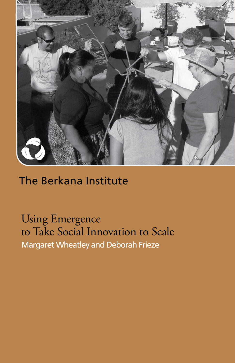

## The Berkana Institute

Using Emergence to Take Social Innovation to Scale Margaret Wheatley and Deborah Frieze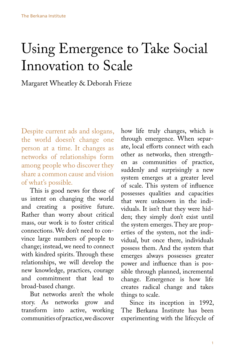# Using Emergence to Take Social Innovation to Scale

Margaret Wheatley & Deborah Frieze

Despite current ads and slogans, the world doesn't change one person at a time. It changes as networks of relationships form among people who discover they share a common cause and vision of what's possible.

This is good news for those of us intent on changing the world and creating a positive future. Rather than worry about critical mass, our work is to foster critical connections. We don't need to convince large numbers of people to change; instead, we need to connect with kindred spirits. Through these relationships, we will develop the new knowledge, practices, courage and commitment that lead to broad-based change.

But networks aren't the whole story. As networks grow and transform into active, working communities of practice, we discover

how life truly changes, which is through emergence. When separate, local efforts connect with each other as networks, then strengthen as communities of practice, suddenly and surprisingly a new system emerges at a greater level of scale. This system of influence possesses qualities and capacities that were unknown in the individuals. It isn't that they were hidden; they simply don't exist until the system emerges. They are properties of the system, not the individual, but once there, individuals possess them. And the system that emerges always possesses greater power and influence than is possible through planned, incremental change. Emergence is how life creates radical change and takes things to scale.

Since its inception in 1992, The Berkana Institute has been experimenting with the lifecycle of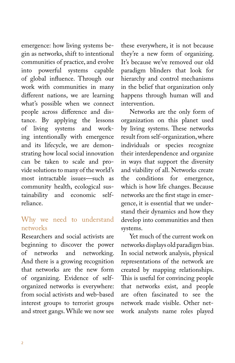emergence: how living systems begin as networks, shift to intentional communities of practice, and evolve into powerful systems capable of global influence. Through our work with communities in many different nations, we are learning what's possible when we connect people across difference and distance. By applying the lessons of living systems and working intentionally with emergence and its lifecycle, we are demonstrating how local social innovation can be taken to scale and provide solutions to many of the world's most intractable issues—such as community health, ecological sustainability and economic selfreliance.

## Why we need to understand networks

Researchers and social activists are beginning to discover the power of networks and networking. And there is a growing recognition that networks are the new form of organizing. Evidence of selforganized networks is everywhere: from social activists and web-based interest groups to terrorist groups and street gangs. While we now see

these everywhere, it is not because they're a new form of organizing. It's because we've removed our old paradigm blinders that look for hierarchy and control mechanisms in the belief that organization only happens through human will and intervention.

Networks are the only form of organization on this planet used by living systems. These networks result from self-organization, where individuals or species recognize their interdependence and organize in ways that support the diversity and viability of all. Networks create the conditions for emergence, which is how life changes. Because networks are the first stage in emergence, it is essential that we understand their dynamics and how they develop into communities and then systems.

Yet much of the current work on networks displays old paradigm bias. In social network analysis, physical representations of the network are created by mapping relationships. This is useful for convincing people that networks exist, and people are often fascinated to see the network made visible. Other network analysts name roles played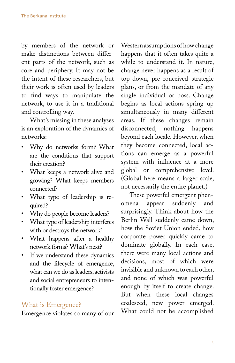by members of the network or make distinctions between different parts of the network, such as core and periphery. It may not be the intent of these researchers, but their work is often used by leaders to find ways to manipulate the network, to use it in a traditional and controlling way.

What's missing in these analyses is an exploration of the dynamics of networks:

- Why do networks form? What are the conditions that support their creation?
- What keeps a network alive and growing? What keeps members connected?
- What type of leadership is required?
- Why do people become leaders?
- What type of leadership interferes with or destroys the network?
- What happens after a healthy network forms? What's next?
- If we understand these dynamics and the lifecycle of emergence, what can we do as leaders, activists and social entrepreneurs to intentionally foster emergence?

## What is Emergence?

Emergence violates so many of our

Western assumptions of how change happens that it often takes quite a while to understand it. In nature, change never happens as a result of top-down, pre-conceived strategic plans, or from the mandate of any single individual or boss. Change begins as local actions spring up simultaneously in many different areas. If these changes remain disconnected, nothing happens beyond each locale. However, when they become connected, local actions can emerge as a powerful system with influence at a more global or comprehensive level. (Global here means a larger scale, not necessarily the entire planet.)

These powerful emergent phenomena appear suddenly and surprisingly. Think about how the Berlin Wall suddenly came down, how the Soviet Union ended, how corporate power quickly came to dominate globally. In each case, there were many local actions and decisions, most of which were invisible and unknown to each other, and none of which was powerful enough by itself to create change. But when these local changes coalesced, new power emerged. What could not be accomplished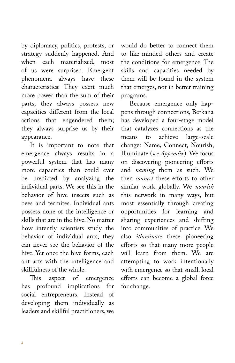by diplomacy, politics, protests, or strategy suddenly happened. And when each materialized, most of us were surprised. Emergent phenomena always have these characteristics: They exert much more power than the sum of their parts; they always possess new capacities different from the local actions that engendered them; they always surprise us by their appearance.

It is important to note that emergence always results in a powerful system that has many more capacities than could ever be predicted by analyzing the individual parts. We see this in the behavior of hive insects such as bees and termites. Individual ants possess none of the intelligence or skills that are in the hive. No matter how intently scientists study the behavior of individual ants, they can never see the behavior of the hive. Yet once the hive forms, each ant acts with the intelligence and skillfulness of the whole.

This aspect of emergence has profound implications for social entrepreneurs. Instead of developing them individually as leaders and skillful practitioners, we

would do better to connect them to like-minded others and create the conditions for emergence. The skills and capacities needed by them will be found in the system that emerges, not in better training programs.

Because emergence only happens through connections, Berkana has developed a four-stage model that catalyzes connections as the means to achieve large-scale change: Name, Connect, Nourish, Illuminate (*see Appendix*). We focus on discovering pioneering efforts and *naming* them as such. We then *connect* these efforts to other similar work globally. We *nourish* this network in many ways, but most essentially through creating opportunities for learning and sharing experiences and shifting into communities of practice. We also *illuminate* these pioneering efforts so that many more people will learn from them. We are attempting to work intentionally with emergence so that small, local efforts can become a global force for change.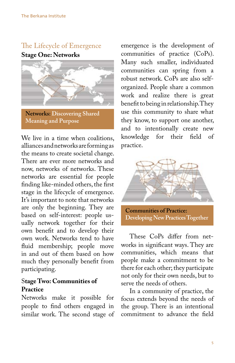## The Lifecycle of Emergence

**Stage One: Networks**



**Networks: Discovering Shared Meaning and Purpose**

We live in a time when coalitions, alliances and networks are forming as the means to create societal change. There are ever more networks and now, networks of networks. These networks are essential for people finding like-minded others, the first stage in the lifecycle of emergence. It's important to note that networks are only the beginning. They are based on self-interest: people usually network together for their own benefit and to develop their own work. Networks tend to have fluid membership; people move in and out of them based on how much they personally benefit from participating.

## S**tage Two: Communities of Practice**

Networks make it possible for people to find others engaged in similar work. The second stage of

emergence is the development of communities of practice (CoPs). Many such smaller, individuated communities can spring from a robust network. CoPs are also selforganized. People share a common work and realize there is great benefit to being in relationship. They use this community to share what they know, to support one another, and to intentionally create new knowledge for their field of practice.



**Communities of Practice: Developing New Practices Together** 

These CoPs differ from networks in significant ways. They are communities, which means that people make a commitment to be there for each other; they participate not only for their own needs, but to serve the needs of others.

In a community of practice, the focus extends beyond the needs of the group. There is an intentional commitment to advance the field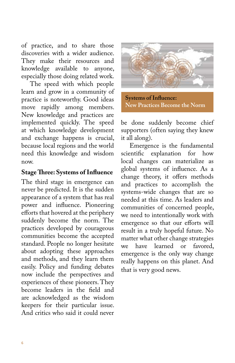of practice, and to share those discoveries with a wider audience. They make their resources and knowledge available to anyone, especially those doing related work.

The speed with which people learn and grow in a community of practice is noteworthy. Good ideas move rapidly among members. New knowledge and practices are implemented quickly. The speed at which knowledge development and exchange happens is crucial, because local regions and the world need this knowledge and wisdom now.

#### **Stage Three: Systems of Influence**

The third stage in emergence can never be predicted. It is the sudden appearance of a system that has real power and influence. Pioneering efforts that hovered at the periphery suddenly become the norm. The practices developed by courageous communities become the accepted standard. People no longer hesitate about adopting these approaches and methods, and they learn them easily. Policy and funding debates now include the perspectives and experiences of these pioneers. They become leaders in the field and are acknowledged as the wisdom keepers for their particular issue. And critics who said it could never



**Systems of Influence: New Practices Become the Norm**

be done suddenly become chief supporters (often saying they knew it all along).

Emergence is the fundamental scientific explanation for how local changes can materialize as global systems of influence. As a change theory, it offers methods and practices to accomplish the systems-wide changes that are so needed at this time. As leaders and communities of concerned people, we need to intentionally work with emergence so that our efforts will result in a truly hopeful future. No matter what other change strategies we have learned or favored, emergence is the only way change really happens on this planet. And that is very good news.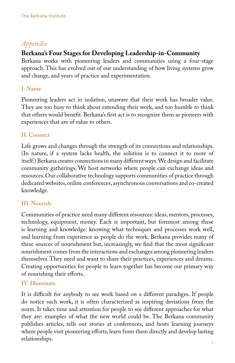## *Appendix*

## **Berkana's Four Stages for Developing Leadership-in-Community**

Berkana works with pioneering leaders and communities using a four-stage approach. This has evolved out of our understanding of how living systems grow and change, and years of practice and experimentation.

#### **I. Name**

Pioneering leaders act in isolation, unaware that their work has broader value. They are too busy to think about extending their work, and too humble to think that others would benefit. Berkana's first act is to recognize them as pioneers with experiences that are of value to others.

## **II. Connect**

Life grows and changes through the strength of its connections and relationships. (In nature, if a system lacks health, the solution is to connect it to more of itself.) Berkana creates connections in many different ways. We design and facilitate community gatherings. We host networks where people can exchange ideas and resources. Our collaborative technology supports communities of practice through dedicated websites, online conferences, asynchronous conversations and co-created knowledge.

## **III. Nourish**

Communities of practice need many different resources: ideas, mentors, processes, technology, equipment, money. Each is important, but foremost among these is learning and knowledge: knowing what techniques and processes work well, and learning from experience as people do the work. Berkana provides many of these sources of nourishment but, increasingly, we find that the most significant nourishment comes from the interactions and exchanges among pioneering leaders themselves. They need and want to share their practices, experiences and dreams. Creating opportunities for people to learn together has become our primary way of nourishing their efforts.

#### **IV. Illuminate**

It is difficult for anybody to see work based on a different paradigm. If people do notice such work, it is often characterized as inspiring deviations from the norm. It takes time and attention for people to see different approaches for what they are: examples of what the new world could be. The Berkana community publishes articles, tells our stories at conferences, and hosts learning journeys where people visit pioneering efforts, learn from them directly and develop lasting relationships.